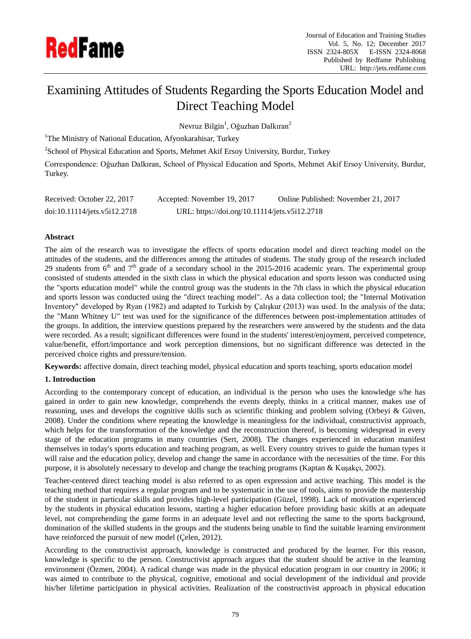

# Examining Attitudes of Students Regarding the Sports Education Model and Direct Teaching Model

Nevruz Bilgin<sup>1</sup>, Oğuzhan Dalkıran<sup>2</sup>

<sup>1</sup>The Ministry of National Education, Afyonkarahisar, Turkey

 $2$ School of Physical Education and Sports, Mehmet Akif Ersoy University, Burdur, Turkey

Correspondence: Oğuzhan Dalkıran, School of Physical Education and Sports, Mehmet Akif Ersoy University, Burdur, Turkey.

| Received: October 22, 2017   | Accepted: November 19, 2017                   | Online Published: November 21, 2017 |
|------------------------------|-----------------------------------------------|-------------------------------------|
| doi:10.11114/jets.v5i12.2718 | URL: https://doi.org/10.11114/jets.v5i12.2718 |                                     |

# **Abstract**

The aim of the research was to investigate the effects of sports education model and direct teaching model on the attitudes of the students, and the differences among the attitudes of students. The study group of the research included 29 students from  $6<sup>th</sup>$  and  $7<sup>th</sup>$  grade of a secondary school in the 2015-2016 academic years. The experimental group consisted of students attended in the sixth class in which the physical education and sports lesson was conducted using the "sports education model" while the control group was the students in the 7th class in which the physical education and sports lesson was conducted using the "direct teaching model". As a data collection tool; the "Internal Motivation Inventory" developed by Ryan (1982) and adapted to Turkish by Çalışkur (2013) was used. In the analysis of the data; the "Mann Whitney U" test was used for the significance of the differences between post-implementation attitudes of the groups. In addition, the interview questions prepared by the researchers were answered by the students and the data were recorded. As a result; significant differences were found in the students' interest/enjoyment, perceived competence, value/benefit, effort/importance and work perception dimensions, but no significant difference was detected in the perceived choice rights and pressure/tension.

**Keywords:** affective domain, direct teaching model, physical education and sports teaching, sports education model

## **1. Introduction**

According to the contemporary concept of education, an individual is the person who uses the knowledge s/he has gained in order to gain new knowledge, comprehends the events deeply, thinks in a critical manner, makes use of reasoning, uses and develops the cognitive skills such as scientific thinking and problem solving (Orbeyi & Güven, 2008). Under the conditions where repeating the knowledge is meaningless for the individual, constructivist approach, which helps for the transformation of the knowledge and the reconstruction thereof, is becoming widespread in every stage of the education programs in many countries (Sert, 2008). The changes experienced in education manifest themselves in today's sports education and teaching program, as well. Every country strives to guide the human types it will raise and the education policy, develop and change the same in accordance with the necessities of the time. For this purpose, it is absolutely necessary to develop and change the teaching programs (Kaptan & Kuşakçı, 2002).

Teacher-centered direct teaching model is also referred to as open expression and active teaching. This model is the teaching method that requires a regular program and to be systematic in the use of tools, aims to provide the mastership of the student in particular skills and provides high-level participation (Güzel, 1998). Lack of motivation experienced by the students in physical education lessons, starting a higher education before providing basic skills at an adequate level, not comprehending the game forms in an adequate level and not reflecting the same to the sports background, domination of the skilled students in the groups and the students being unable to find the suitable learning environment have reinforced the pursuit of new model (Çelen, 2012).

According to the constructivist approach, knowledge is constructed and produced by the learner. For this reason, knowledge is specific to the person. Constructivist approach argues that the student should be active in the learning environment (Özmen, 2004). A radical change was made in the physical education program in our country in 2006; it was aimed to contribute to the physical, cognitive, emotional and social development of the individual and provide his/her lifetime participation in physical activities. Realization of the constructivist approach in physical education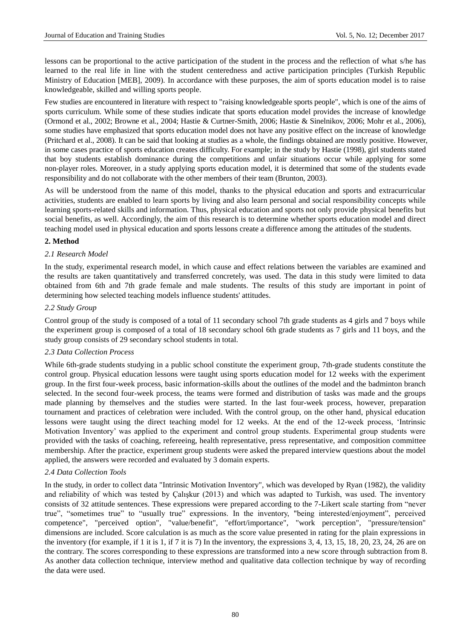lessons can be proportional to the active participation of the student in the process and the reflection of what s/he has learned to the real life in line with the student centeredness and active participation principles (Turkish Republic Ministry of Education [MEB], 2009). In accordance with these purposes, the aim of sports education model is to raise knowledgeable, skilled and willing sports people.

Few studies are encountered in literature with respect to "raising knowledgeable sports people", which is one of the aims of sports curriculum. While some of these studies indicate that sports education model provides the increase of knowledge (Ormond et al., 2002; Browne et al., 2004; Hastie & Curtner-Smith, 2006; Hastie & Sinelnikov, 2006; Mohr et al., 2006), some studies have emphasized that sports education model does not have any positive effect on the increase of knowledge (Pritchard et al., 2008). It can be said that looking at studies as a whole, the findings obtained are mostly positive. However, in some cases practice of sports education creates difficulty. For example; in the study by Hastie (1998), girl students stated that boy students establish dominance during the competitions and unfair situations occur while applying for some non-player roles. Moreover, in a study applying sports education model, it is determined that some of the students evade responsibility and do not collaborate with the other members of their team (Brunton, 2003).

As will be understood from the name of this model, thanks to the physical education and sports and extracurricular activities, students are enabled to learn sports by living and also learn personal and social responsibility concepts while learning sports-related skills and information. Thus, physical education and sports not only provide physical benefits but social benefits, as well. Accordingly, the aim of this research is to determine whether sports education model and direct teaching model used in physical education and sports lessons create a difference among the attitudes of the students.

#### **2. Method**

#### *2.1 Research Model*

In the study, experimental research model, in which cause and effect relations between the variables are examined and the results are taken quantitatively and transferred concretely, was used. The data in this study were limited to data obtained from 6th and 7th grade female and male students. The results of this study are important in point of determining how selected teaching models influence students' attitudes.

#### *2.2 Study Group*

Control group of the study is composed of a total of 11 secondary school 7th grade students as 4 girls and 7 boys while the experiment group is composed of a total of 18 secondary school 6th grade students as 7 girls and 11 boys, and the study group consists of 29 secondary school students in total.

#### *2.3 Data Collection Process*

While 6th-grade students studying in a public school constitute the experiment group, 7th-grade students constitute the control group. Physical education lessons were taught using sports education model for 12 weeks with the experiment group. In the first four-week process, basic information-skills about the outlines of the model and the badminton branch selected. In the second four-week process, the teams were formed and distribution of tasks was made and the groups made planning by themselves and the studies were started. In the last four-week process, however, preparation tournament and practices of celebration were included. With the control group, on the other hand, physical education lessons were taught using the direct teaching model for 12 weeks. At the end of the 12-week process, 'Intrinsic Motivation Inventory' was applied to the experiment and control group students. Experimental group students were provided with the tasks of coaching, refereeing, health representative, press representative, and composition committee membership. After the practice, experiment group students were asked the prepared interview questions about the model applied, the answers were recorded and evaluated by 3 domain experts.

## *2.4 Data Collection Tools*

In the study, in order to collect data "Intrinsic Motivation Inventory", which was developed by Ryan (1982), the validity and reliability of which was tested by Çalışkur (2013) and which was adapted to Turkish, was used. The inventory consists of 32 attitude sentences. These expressions were prepared according to the 7-Likert scale starting from "never true", "sometimes true" to "usually true" expressions. In the inventory, "being interested/enjoyment", perceived competence", "perceived option", "value/benefit", "effort/importance", "work perception", "pressure/tension" dimensions are included. Score calculation is as much as the score value presented in rating for the plain expressions in the inventory (for example, if 1 it is 1, if 7 it is 7) In the inventory, the expressions 3, 4, 13, 15, 18, 20, 23, 24, 26 are on the contrary. The scores corresponding to these expressions are transformed into a new score through subtraction from 8. As another data collection technique, interview method and qualitative data collection technique by way of recording the data were used.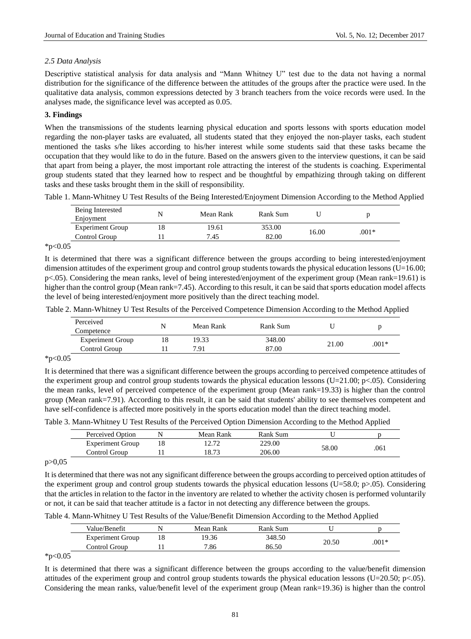# *2.5 Data Analysis*

Descriptive statistical analysis for data analysis and "Mann Whitney U" test due to the data not having a normal distribution for the significance of the difference between the attitudes of the groups after the practice were used. In the qualitative data analysis, common expressions detected by 3 branch teachers from the voice records were used. In the analyses made, the significance level was accepted as 0.05.

# **3. Findings**

When the transmissions of the students learning physical education and sports lessons with sports education model regarding the non-player tasks are evaluated, all students stated that they enjoyed the non-player tasks, each student mentioned the tasks s/he likes according to his/her interest while some students said that these tasks became the occupation that they would like to do in the future. Based on the answers given to the interview questions, it can be said that apart from being a player, the most important role attracting the interest of the students is coaching. Experimental group students stated that they learned how to respect and be thoughtful by empathizing through taking on different tasks and these tasks brought them in the skill of responsibility.

Table 1. Mann-Whitney U Test Results of the Being Interested/Enjoyment Dimension According to the Method Applied

| Being Interested<br>Enjoyment | N | Mean Rank | Rank Sum |       |         |
|-------------------------------|---|-----------|----------|-------|---------|
| <b>Experiment Group</b>       |   | 19.61     | 353.00   |       |         |
| Control Group                 |   | 7.45      | 82.00    | 16.00 | $.001*$ |

 $*p<0.05$ 

It is determined that there was a significant difference between the groups according to being interested/enjoyment dimension attitudes of the experiment group and control group students towards the physical education lessons ( $U=16.00$ ; p<.05). Considering the mean ranks, level of being interested/enjoyment of the experiment group (Mean rank=19.61) is higher than the control group (Mean rank=7.45). According to this result, it can be said that sports education model affects the level of being interested/enjoyment more positively than the direct teaching model.

Table 2. Mann-Whitney U Test Results of the Perceived Competence Dimension According to the Method Applied

| Competence              | N  | Mean Rank | Rank Sum |       |         |
|-------------------------|----|-----------|----------|-------|---------|
| <b>Experiment Group</b> | 18 | 19.33     | 348.00   |       |         |
| Control Group           |    | 7.91      | 87.00    | 21.00 | $.001*$ |

 $*p<0.05$ 

It is determined that there was a significant difference between the groups according to perceived competence attitudes of the experiment group and control group students towards the physical education lessons (U=21.00; p<.05). Considering the mean ranks, level of perceived competence of the experiment group (Mean rank=19.33) is higher than the control group (Mean rank=7.91). According to this result, it can be said that students' ability to see themselves competent and have self-confidence is affected more positively in the sports education model than the direct teaching model.

Table 3. Mann-Whitney U Test Results of the Perceived Option Dimension According to the Method Applied

| Perceived Option        | Mean Rank | Rank Sum |       |      |
|-------------------------|-----------|----------|-------|------|
| <b>Experiment Group</b> | 12.72     | 229.00   |       |      |
| Control Group           | 18.73     | 206.00   | 58.00 | .061 |

 $p > 0.05$ 

It is determined that there was not any significant difference between the groups according to perceived option attitudes of the experiment group and control group students towards the physical education lessons (U=58.0; p>.05). Considering that the articles in relation to the factor in the inventory are related to whether the activity chosen is performed voluntarily or not, it can be said that teacher attitude is a factor in not detecting any difference between the groups.

Table 4. Mann-Whitney U Test Results of the Value/Benefit Dimension According to the Method Applied

|                         |           | ີ        |       | . .     |
|-------------------------|-----------|----------|-------|---------|
| Value/Benefit           | Mean Rank | Rank Sum |       |         |
| <b>Experiment Group</b> | 19.36     | 348.50   |       |         |
| Control Group           | 7.86      | 86.50    | 20.50 | $.001*$ |
|                         |           |          |       |         |

 $*p<0.05$ 

It is determined that there was a significant difference between the groups according to the value/benefit dimension attitudes of the experiment group and control group students towards the physical education lessons (U=20.50; p<.05). Considering the mean ranks, value/benefit level of the experiment group (Mean rank=19.36) is higher than the control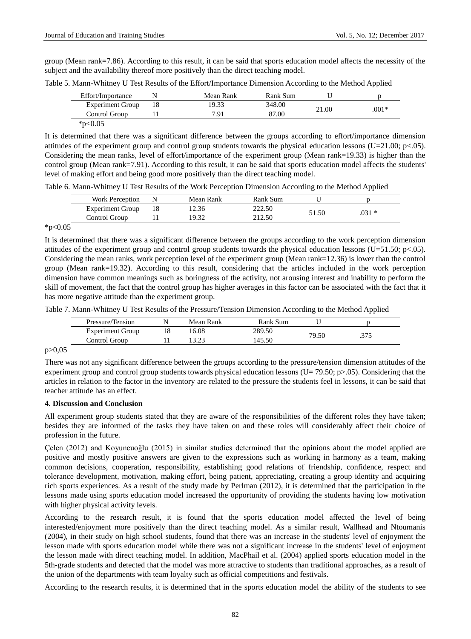group (Mean rank=7.86). According to this result, it can be said that sports education model affects the necessity of the subject and the availability thereof more positively than the direct teaching model.

|  | Table 5. Mann-Whitney U Test Results of the Effort/Importance Dimension According to the Method Applied |  |
|--|---------------------------------------------------------------------------------------------------------|--|
|  |                                                                                                         |  |

| Effort/Importance       | Mean Rank | Rank Sum |       |         |
|-------------------------|-----------|----------|-------|---------|
| <b>Experiment Group</b> | 19.33     | 348.00   | 21.00 | $.001*$ |
| Control Group           | 7.91      | 87.00    |       |         |
| * $p<0.05$              |           |          |       |         |

It is determined that there was a significant difference between the groups according to effort/importance dimension attitudes of the experiment group and control group students towards the physical education lessons (U=21.00; p<.05). Considering the mean ranks, level of effort/importance of the experiment group (Mean rank=19.33) is higher than the control group (Mean rank=7.91). According to this result, it can be said that sports education model affects the students' level of making effort and being good more positively than the direct teaching model.

Table 6. Mann-Whitney U Test Results of the Work Perception Dimension According to the Method Applied

| Work Perception         | Mean Rank | Rank Sum |       |         |
|-------------------------|-----------|----------|-------|---------|
| <b>Experiment Group</b> | 2.36      | 222.50   | 51.50 |         |
| Control Group           | 19.32     | 212.50   |       | $.031*$ |

 $*p<0.05$ 

It is determined that there was a significant difference between the groups according to the work perception dimension attitudes of the experiment group and control group students towards the physical education lessons (U=51.50; p<.05). Considering the mean ranks, work perception level of the experiment group (Mean rank=12.36) is lower than the control group (Mean rank=19.32). According to this result, considering that the articles included in the work perception dimension have common meanings such as boringness of the activity, not arousing interest and inability to perform the skill of movement, the fact that the control group has higher averages in this factor can be associated with the fact that it has more negative attitude than the experiment group.

Table 7. Mann-Whitney U Test Results of the Pressure/Tension Dimension According to the Method Applied

| Pressure/Tension        | N  | Mean Rank | Rank Sum |       |  |
|-------------------------|----|-----------|----------|-------|--|
| <b>Experiment Group</b> | 18 | 16.08     | 289.50   |       |  |
| Control Group           |    | 12.02     | .45.50   | 79.50 |  |

p>0,05

There was not any significant difference between the groups according to the pressure/tension dimension attitudes of the experiment group and control group students towards physical education lessons (U= 79.50; p>.05). Considering that the articles in relation to the factor in the inventory are related to the pressure the students feel in lessons, it can be said that teacher attitude has an effect.

## **4. Discussion and Conclusion**

All experiment group students stated that they are aware of the responsibilities of the different roles they have taken; besides they are informed of the tasks they have taken on and these roles will considerably affect their choice of profession in the future.

Çelen (2012) and Koyuncuoğlu (2015) in similar studies determined that the opinions about the model applied are positive and mostly positive answers are given to the expressions such as working in harmony as a team, making common decisions, cooperation, responsibility, establishing good relations of friendship, confidence, respect and tolerance development, motivation, making effort, being patient, appreciating, creating a group identity and acquiring rich sports experiences. As a result of the study made by Perlman (2012), it is determined that the participation in the lessons made using sports education model increased the opportunity of providing the students having low motivation with higher physical activity levels.

According to the research result, it is found that the sports education model affected the level of being interested/enjoyment more positively than the direct teaching model. As a similar result, Wallhead and Ntoumanis (2004), in their study on high school students, found that there was an increase in the students' level of enjoyment the lesson made with sports education model while there was not a significant increase in the students' level of enjoyment the lesson made with direct teaching model. In addition, MacPhail et al. (2004) applied sports education model in the 5th-grade students and detected that the model was more attractive to students than traditional approaches, as a result of the union of the departments with team loyalty such as official competitions and festivals.

According to the research results, it is determined that in the sports education model the ability of the students to see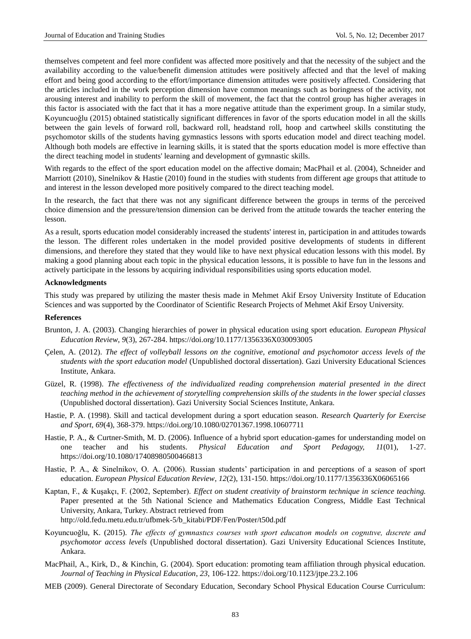themselves competent and feel more confident was affected more positively and that the necessity of the subject and the availability according to the value/benefit dimension attitudes were positively affected and that the level of making effort and being good according to the effort/importance dimension attitudes were positively affected. Considering that the articles included in the work perception dimension have common meanings such as boringness of the activity, not arousing interest and inability to perform the skill of movement, the fact that the control group has higher averages in this factor is associated with the fact that it has a more negative attitude than the experiment group. In a similar study, Koyuncuoğlu (2015) obtained statistically significant differences in favor of the sports education model in all the skills between the gain levels of forward roll, backward roll, headstand roll, hoop and cartwheel skills constituting the psychomotor skills of the students having gymnastics lessons with sports education model and direct teaching model. Although both models are effective in learning skills, it is stated that the sports education model is more effective than the direct teaching model in students' learning and development of gymnastic skills.

With regards to the effect of the sport education model on the affective domain; MacPhail et al. (2004), Schneider and Marriott (2010), Sinelnikov & Hastie (2010) found in the studies with students from different age groups that attitude to and interest in the lesson developed more positively compared to the direct teaching model.

In the research, the fact that there was not any significant difference between the groups in terms of the perceived choice dimension and the pressure/tension dimension can be derived from the attitude towards the teacher entering the lesson.

As a result, sports education model considerably increased the students' interest in, participation in and attitudes towards the lesson. The different roles undertaken in the model provided positive developments of students in different dimensions, and therefore they stated that they would like to have next physical education lessons with this model. By making a good planning about each topic in the physical education lessons, it is possible to have fun in the lessons and actively participate in the lessons by acquiring individual responsibilities using sports education model.

#### **Acknowledgments**

This study was prepared by utilizing the master thesis made in Mehmet Akif Ersoy University Institute of Education Sciences and was supported by the Coordinator of Scientific Research Projects of Mehmet Akif Ersoy University.

## **References**

- Brunton, J. A. (2003). Changing hierarchies of power in physical education using sport education. *European Physical Education Review*, *9*(3), 267-284.<https://doi.org/10.1177/1356336X030093005>
- Çelen, A. (2012). *The effect of volleyball lessons on the cognitive, emotional and psychomotor access levels of the students with the sport education model* (Unpublished doctoral dissertation). Gazi University Educational Sciences Institute, Ankara.
- Güzel, R. (1998). *The effectiveness of the individualized reading comprehension material presented in the direct teaching method in the achievement of storytelling comprehension skills of the students in the lower special classes* (Unpublished doctoral dissertation). Gazi University Social Sciences Institute, Ankara.
- Hastie, P. A. (1998). Skill and tactical development during a sport education season. *Research Quarterly for Exercise and Sport*, *69*(4), 368-379.<https://doi.org/10.1080/02701367.1998.10607711>
- Hastie, P. A., & Curtner-Smith, M. D. (2006). Influence of a hybrid sport education-games for understanding model on one teacher and his students. *Physical Education and Sport Pedagogy, 11*(01), 1-27. <https://doi.org/10.1080/17408980500466813>
- Hastie, P. A., & Sinelnikov, O. A. (2006). Russian students' participation in and perceptions of a season of sport education. *European Physical Education Review*, *12*(2), 131-150[. https://doi.org/10.1177/1356336X06065166](https://doi.org/10.1177/1356336X06065166)
- Kaptan, F., & Kuşakçı, F. (2002, September). *Effect on student creativity of brainstorm technique in science teaching.* Paper presented at the 5th National Science and Mathematics Education Congress, Middle East Technical University, Ankara, Turkey. Abstract retrieved from http://old.fedu.metu.edu.tr/ufbmek-5/b\_kitabi/PDF/Fen/Poster/t50d.pdf
- Koyuncuoğlu, K. (2015). *The effects of gymnastıcs courses wıth sport educatıon models on cognıtıve, dıscrete and psychomotor access levels* (Unpublished doctoral dissertation). Gazi University Educational Sciences Institute, Ankara.
- MacPhail, A., Kirk, D., & Kinchin, G. (2004). Sport education: promoting team affiliation through physical education. *Journal of Teaching in Physical Education*, *23*, 106-122.<https://doi.org/10.1123/jtpe.23.2.106>
- MEB (2009). General Directorate of Secondary Education, Secondary School Physical Education Course Curriculum: